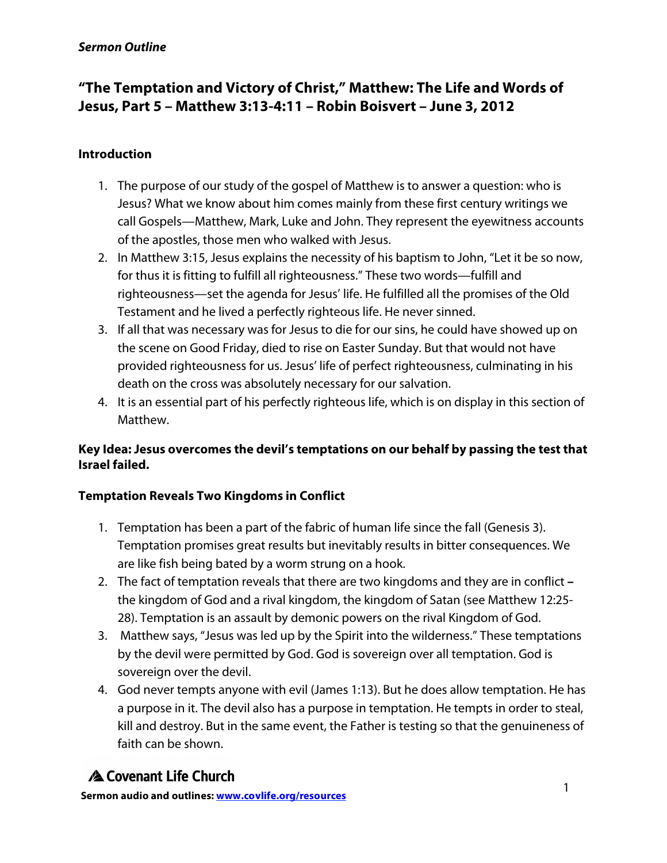#### *Sermon Outline*

## **"The Temptation and Victory of Christ," Matthew: The Life and Words of Jesus, Part 5 – Matthew 3:13-4:11 – Robin Boisvert – June 3, 2012**

### **Introduction**

- 1. The purpose of our study of the gospel of Matthew is to answer a question: who is Jesus? What we know about him comes mainly from these first century writings we call Gospels—Matthew, Mark, Luke and John. They represent the eyewitness accounts of the apostles, those men who walked with Jesus.
- 2. In Matthew 3:15, Jesus explains the necessity of his baptism to John, "Let it be so now, for thus it is fitting to fulfill all righteousness." These two words—fulfill and righteousness—set the agenda for Jesus' life. He fulfilled all the promises of the Old Testament and he lived a perfectly righteous life. He never sinned.
- 3. If all that was necessary was for Jesus to die for our sins, he could have showed up on the scene on Good Friday, died to rise on Easter Sunday. But that would not have provided righteousness for us. Jesus' life of perfect righteousness, culminating in his death on the cross was absolutely necessary for our salvation.
- 4. It is an essential part of his perfectly righteous life, which is on display in this section of Matthew.

## **Key Idea: Jesus overcomes the devil's temptations on our behalf by passing the test that Israel failed.**

#### **Temptation Reveals Two Kingdoms in Conflict**

- 1. Temptation has been a part of the fabric of human life since the fall (Genesis 3). Temptation promises great results but inevitably results in bitter consequences. We are like fish being bated by a worm strung on a hook.
- 2. The fact of temptation reveals that there are two kingdoms and they are in conflict **–** the kingdom of God and a rival kingdom, the kingdom of Satan (see Matthew 12:25- 28). Temptation is an assault by demonic powers on the rival Kingdom of God.
- 3. Matthew says, "Jesus was led up by the Spirit into the wilderness." These temptations by the devil were permitted by God. God is sovereign over all temptation. God is sovereign over the devil.
- 4. God never tempts anyone with evil (James 1:13). But he does allow temptation. He has a purpose in it. The devil also has a purpose in temptation. He tempts in order to steal, kill and destroy. But in the same event, the Father is testing so that the genuineness of faith can be shown.

# A Covenant Life Church

<sup>1</sup> **Sermon audio and outlines: www.covlife.org/resources**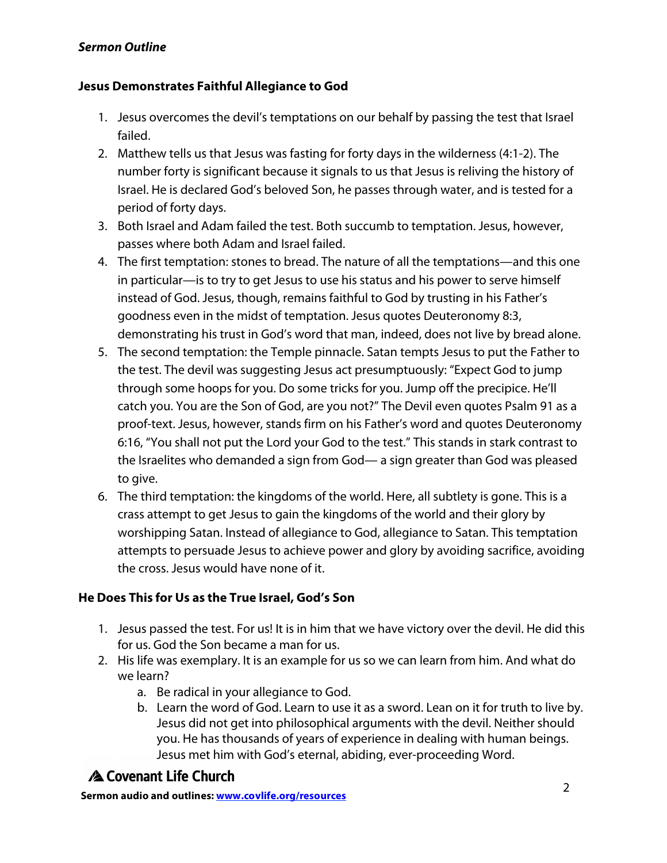## *Sermon Outline*

#### **Jesus Demonstrates Faithful Allegiance to God**

- 1. Jesus overcomes the devil's temptations on our behalf by passing the test that Israel failed.
- 2. Matthew tells us that Jesus was fasting for forty days in the wilderness (4:1-2). The number forty is significant because it signals to us that Jesus is reliving the history of Israel. He is declared God's beloved Son, he passes through water, and is tested for a period of forty days.
- 3. Both Israel and Adam failed the test. Both succumb to temptation. Jesus, however, passes where both Adam and Israel failed.
- 4. The first temptation: stones to bread. The nature of all the temptations—and this one in particular—is to try to get Jesus to use his status and his power to serve himself instead of God. Jesus, though, remains faithful to God by trusting in his Father's goodness even in the midst of temptation. Jesus quotes Deuteronomy 8:3, demonstrating his trust in God's word that man, indeed, does not live by bread alone.
- 5. The second temptation: the Temple pinnacle. Satan tempts Jesus to put the Father to the test. The devil was suggesting Jesus act presumptuously: "Expect God to jump through some hoops for you. Do some tricks for you. Jump off the precipice. He'll catch you. You are the Son of God, are you not?" The Devil even quotes Psalm 91 as a proof-text. Jesus, however, stands firm on his Father's word and quotes Deuteronomy 6:16, "You shall not put the Lord your God to the test." This stands in stark contrast to the Israelites who demanded a sign from God— a sign greater than God was pleased to give.
- 6. The third temptation: the kingdoms of the world. Here, all subtlety is gone. This is a crass attempt to get Jesus to gain the kingdoms of the world and their glory by worshipping Satan. Instead of allegiance to God, allegiance to Satan. This temptation attempts to persuade Jesus to achieve power and glory by avoiding sacrifice, avoiding the cross. Jesus would have none of it.

## **He Does This for Us as the True Israel, God's Son**

- 1. Jesus passed the test. For us! It is in him that we have victory over the devil. He did this for us. God the Son became a man for us.
- 2. His life was exemplary. It is an example for us so we can learn from him. And what do we learn?
	- a. Be radical in your allegiance to God.
	- b. Learn the word of God. Learn to use it as a sword. Lean on it for truth to live by. Jesus did not get into philosophical arguments with the devil. Neither should you. He has thousands of years of experience in dealing with human beings. Jesus met him with God's eternal, abiding, ever-proceeding Word.

# A Covenant Life Church

<sup>2</sup> **Sermon audio and outlines: www.covlife.org/resources**